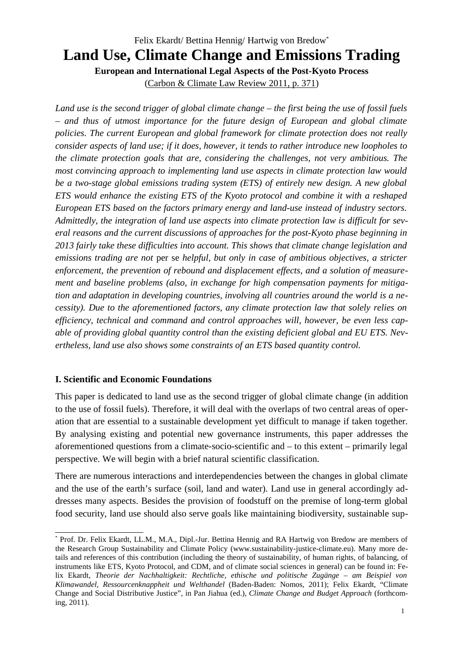# Felix Ekardt/ Bettina Hennig/ Hartwig von Bredow\* **Land Use, Climate Change and Emissions Trading European and International Legal Aspects of the Post-Kyoto Process**

(Carbon & Climate Law Review 2011, p. 371)

*Land use is the second trigger of global climate change – the first being the use of fossil fuels – and thus of utmost importance for the future design of European and global climate policies. The current European and global framework for climate protection does not really consider aspects of land use; if it does, however, it tends to rather introduce new loopholes to the climate protection goals that are, considering the challenges, not very ambitious. The most convincing approach to implementing land use aspects in climate protection law would be a two-stage global emissions trading system (ETS) of entirely new design. A new global ETS would enhance the existing ETS of the Kyoto protocol and combine it with a reshaped European ETS based on the factors primary energy and land-use instead of industry sectors. Admittedly, the integration of land use aspects into climate protection law is difficult for several reasons and the current discussions of approaches for the post-Kyoto phase beginning in 2013 fairly take these difficulties into account. This shows that climate change legislation and emissions trading are not* per se *helpful, but only in case of ambitious objectives, a stricter enforcement, the prevention of rebound and displacement effects, and a solution of measurement and baseline problems (also, in exchange for high compensation payments for mitigation and adaptation in developing countries, involving all countries around the world is a necessity). Due to the aforementioned factors, any climate protection law that solely relies on efficiency, technical and command and control approaches will, however, be even less capable of providing global quantity control than the existing deficient global and EU ETS. Nevertheless, land use also shows some constraints of an ETS based quantity control.*

#### **I. Scientific and Economic Foundations**

This paper is dedicated to land use as the second trigger of global climate change (in addition to the use of fossil fuels). Therefore, it will deal with the overlaps of two central areas of operation that are essential to a sustainable development yet difficult to manage if taken together. By analysing existing and potential new governance instruments, this paper addresses the aforementioned questions from a climate-socio-scientific and – to this extent – primarily legal perspective. We will begin with a brief natural scientific classification.

There are numerous interactions and interdependencies between the changes in global climate and the use of the earth's surface (soil, land and water). Land use in general accordingly addresses many aspects. Besides the provision of foodstuff on the premise of long-term global food security, land use should also serve goals like maintaining biodiversity, sustainable sup-

<sup>\*</sup> Prof. Dr. Felix Ekardt, LL.M., M.A., Dipl.-Jur. Bettina Hennig and RA Hartwig von Bredow are members of the Research Group Sustainability and Climate Policy (www.sustainability-justice-climate.eu). Many more details and references of this contribution (including the theory of sustainability, of human rights, of balancing, of instruments like ETS, Kyoto Protocol, and CDM, and of climate social sciences in general) can be found in: Felix Ekardt, *Theorie der Nachhaltigkeit: Rechtliche, ethische und politische Zugänge – am Beispiel von Klimawandel, Ressourcenknappheit und Welthandel* (Baden-Baden: Nomos, 2011); Felix Ekardt, "Climate Change and Social Distributive Justice", in Pan Jiahua (ed.), *Climate Change and Budget Approach* (forthcoming, 2011).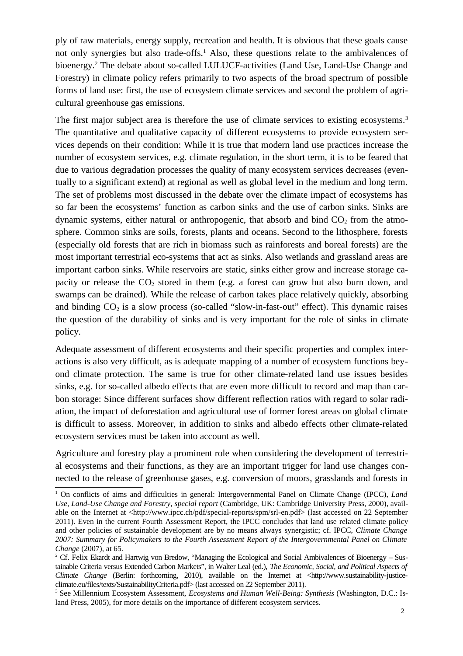ply of raw materials, energy supply, recreation and health. It is obvious that these goals cause not only synergies but also trade-offs.<sup>1</sup> Also, these questions relate to the ambivalences of bioenergy.<sup>2</sup> The debate about so-called LULUCF-activities (Land Use, Land-Use Change and Forestry) in climate policy refers primarily to two aspects of the broad spectrum of possible forms of land use: first, the use of ecosystem climate services and second the problem of agricultural greenhouse gas emissions.

The first major subject area is therefore the use of climate services to existing ecosystems.<sup>3</sup> The quantitative and qualitative capacity of different ecosystems to provide ecosystem services depends on their condition: While it is true that modern land use practices increase the number of ecosystem services, e.g. climate regulation, in the short term, it is to be feared that due to various degradation processes the quality of many ecosystem services decreases (eventually to a significant extend) at regional as well as global level in the medium and long term. The set of problems most discussed in the debate over the climate impact of ecosystems has so far been the ecosystems' function as carbon sinks and the use of carbon sinks. Sinks are dynamic systems, either natural or anthropogenic, that absorb and bind  $CO<sub>2</sub>$  from the atmosphere. Common sinks are soils, forests, plants and oceans. Second to the lithosphere, forests (especially old forests that are rich in biomass such as rainforests and boreal forests) are the most important terrestrial eco-systems that act as sinks. Also wetlands and grassland areas are important carbon sinks. While reservoirs are static, sinks either grow and increase storage capacity or release the  $CO<sub>2</sub>$  stored in them (e.g. a forest can grow but also burn down, and swamps can be drained). While the release of carbon takes place relatively quickly, absorbing and binding  $CO_2$  is a slow process (so-called "slow-in-fast-out" effect). This dynamic raises the question of the durability of sinks and is very important for the role of sinks in climate policy.

Adequate assessment of different ecosystems and their specific properties and complex interactions is also very difficult, as is adequate mapping of a number of ecosystem functions beyond climate protection. The same is true for other climate-related land use issues besides sinks, e.g. for so-called albedo effects that are even more difficult to record and map than carbon storage: Since different surfaces show different reflection ratios with regard to solar radiation, the impact of deforestation and agricultural use of former forest areas on global climate is difficult to assess. Moreover, in addition to sinks and albedo effects other climate-related ecosystem services must be taken into account as well.

Agriculture and forestry play a prominent role when considering the development of terrestrial ecosystems and their functions, as they are an important trigger for land use changes connected to the release of greenhouse gases, e.g. conversion of moors, grasslands and forests in

<sup>&</sup>lt;sup>1</sup> On conflicts of aims and difficulties in general: Intergovernmental Panel on Climate Change (IPCC), *Land Use, Land-Use Change and Forestry, special report* (Cambridge, UK: Cambridge University Press, 2000), available on the Internet at <http://www.ipcc.ch/pdf/special-reports/spm/srl-en.pdf> (last accessed on 22 September 2011). Even in the current Fourth Assessment Report, the IPCC concludes that land use related climate policy and other policies of sustainable development are by no means always synergistic; cf. IPCC, *Climate Change 2007: Summary for Policymakers to the Fourth Assessment Report of the Intergovernmental Panel on Climate Change* (2007), at 65.

<sup>&</sup>lt;sup>2</sup> Cf. Felix Ekardt and Hartwig von Bredow, "Managing the Ecological and Social Ambivalences of Bioenergy – Sustainable Criteria versus Extended Carbon Markets", in Walter Leal (ed.), *The Economic, Social, and Political Aspects of Climate Change* (Berlin: forthcoming, 2010), available on the Internet at <http://www.sustainability-justiceclimate.eu/files/texts/SustainabilityCriteria.pdf> (last accessed on 22 September 2011).

<sup>3</sup> See Millennium Ecosystem Assessment, *Ecosystems and Human Well-Being: Synthesis* (Washington, D.C.: Island Press, 2005), for more details on the importance of different ecosystem services.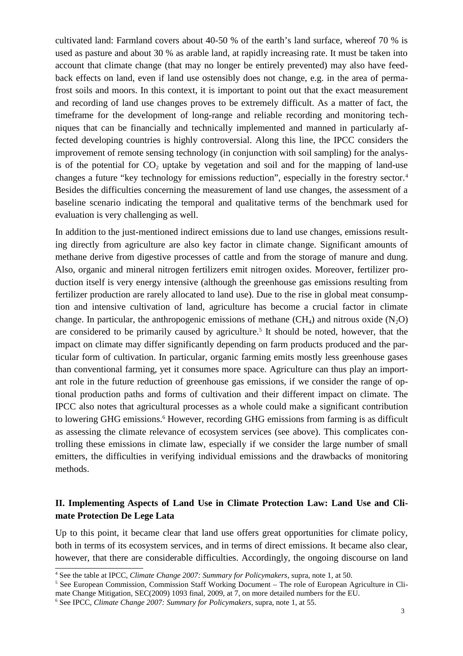cultivated land: Farmland covers about 40-50 % of the earth's land surface, whereof 70 % is used as pasture and about 30 % as arable land, at rapidly increasing rate. It must be taken into account that climate change (that may no longer be entirely prevented) may also have feedback effects on land, even if land use ostensibly does not change, e.g. in the area of permafrost soils and moors. In this context, it is important to point out that the exact measurement and recording of land use changes proves to be extremely difficult. As a matter of fact, the timeframe for the development of long-range and reliable recording and monitoring techniques that can be financially and technically implemented and manned in particularly affected developing countries is highly controversial. Along this line, the IPCC considers the improvement of remote sensing technology (in conjunction with soil sampling) for the analysis of the potential for  $CO<sub>2</sub>$  uptake by vegetation and soil and for the mapping of land-use changes a future "key technology for emissions reduction", especially in the forestry sector.<sup>4</sup> Besides the difficulties concerning the measurement of land use changes, the assessment of a baseline scenario indicating the temporal and qualitative terms of the benchmark used for evaluation is very challenging as well.

In addition to the just-mentioned indirect emissions due to land use changes, emissions resulting directly from agriculture are also key factor in climate change. Significant amounts of methane derive from digestive processes of cattle and from the storage of manure and dung. Also, organic and mineral nitrogen fertilizers emit nitrogen oxides. Moreover, fertilizer production itself is very energy intensive (although the greenhouse gas emissions resulting from fertilizer production are rarely allocated to land use). Due to the rise in global meat consumption and intensive cultivation of land, agriculture has become a crucial factor in climate change. In particular, the anthropogenic emissions of methane  $(CH_4)$  and nitrous oxide  $(N_2O)$ are considered to be primarily caused by agriculture.<sup>5</sup> It should be noted, however, that the impact on climate may differ significantly depending on farm products produced and the particular form of cultivation. In particular, organic farming emits mostly less greenhouse gases than conventional farming, yet it consumes more space. Agriculture can thus play an important role in the future reduction of greenhouse gas emissions, if we consider the range of optional production paths and forms of cultivation and their different impact on climate. The IPCC also notes that agricultural processes as a whole could make a significant contribution to lowering GHG emissions.<sup>6</sup> However, recording GHG emissions from farming is as difficult as assessing the climate relevance of ecosystem services (see above). This complicates controlling these emissions in climate law, especially if we consider the large number of small emitters, the difficulties in verifying individual emissions and the drawbacks of monitoring methods.

# **II. Implementing Aspects of Land Use in Climate Protection Law: Land Use and Climate Protection De Lege Lata**

Up to this point, it became clear that land use offers great opportunities for climate policy, both in terms of its ecosystem services, and in terms of direct emissions. It became also clear, however, that there are considerable difficulties. Accordingly, the ongoing discourse on land

<sup>4</sup> See the table at IPCC, *Climate Change 2007: Summary for Policymakers*, supra, note 1, at 50.

<sup>&</sup>lt;sup>5</sup> See European Commission, Commission Staff Working Document – The role of European Agriculture in Climate Change Mitigation, SEC(2009) 1093 final, 2009, at 7, on more detailed numbers for the EU.

<sup>6</sup> See IPCC, *Climate Change 2007: Summary for Policymakers*, supra, note 1, at 55.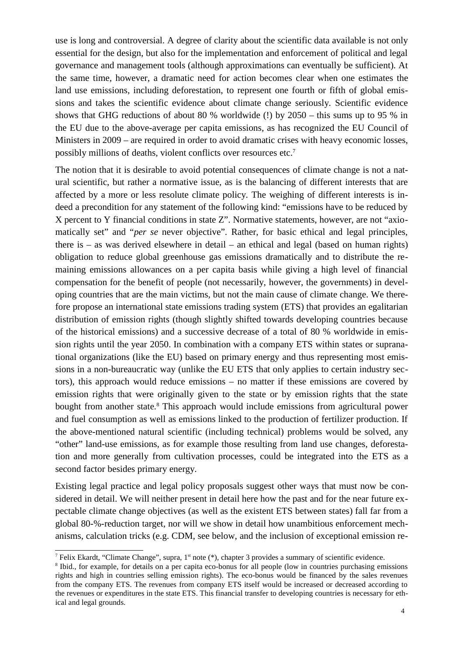use is long and controversial. A degree of clarity about the scientific data available is not only essential for the design, but also for the implementation and enforcement of political and legal governance and management tools (although approximations can eventually be sufficient). At the same time, however, a dramatic need for action becomes clear when one estimates the land use emissions, including deforestation, to represent one fourth or fifth of global emissions and takes the scientific evidence about climate change seriously. Scientific evidence shows that GHG reductions of about 80 % worldwide (!) by 2050 – this sums up to 95 % in the EU due to the above-average per capita emissions, as has recognized the EU Council of Ministers in 2009 – are required in order to avoid dramatic crises with heavy economic losses, possibly millions of deaths, violent conflicts over resources etc.<sup>7</sup>

The notion that it is desirable to avoid potential consequences of climate change is not a natural scientific, but rather a normative issue, as is the balancing of different interests that are affected by a more or less resolute climate policy. The weighing of different interests is indeed a precondition for any statement of the following kind: "emissions have to be reduced by X percent to Y financial conditions in state Z". Normative statements, however, are not "axiomatically set" and "*per se* never objective". Rather, for basic ethical and legal principles, there is – as was derived elsewhere in detail – an ethical and legal (based on human rights) obligation to reduce global greenhouse gas emissions dramatically and to distribute the remaining emissions allowances on a per capita basis while giving a high level of financial compensation for the benefit of people (not necessarily, however, the governments) in developing countries that are the main victims, but not the main cause of climate change. We therefore propose an international state emissions trading system (ETS) that provides an egalitarian distribution of emission rights (though slightly shifted towards developing countries because of the historical emissions) and a successive decrease of a total of 80 % worldwide in emission rights until the year 2050. In combination with a company ETS within states or supranational organizations (like the EU) based on primary energy and thus representing most emissions in a non-bureaucratic way (unlike the EU ETS that only applies to certain industry sectors), this approach would reduce emissions – no matter if these emissions are covered by emission rights that were originally given to the state or by emission rights that the state bought from another state.<sup>8</sup> This approach would include emissions from agricultural power and fuel consumption as well as emissions linked to the production of fertilizer production. If the above-mentioned natural scientific (including technical) problems would be solved, any "other" land-use emissions, as for example those resulting from land use changes, deforestation and more generally from cultivation processes, could be integrated into the ETS as a second factor besides primary energy.

Existing legal practice and legal policy proposals suggest other ways that must now be considered in detail. We will neither present in detail here how the past and for the near future expectable climate change objectives (as well as the existent ETS between states) fall far from a global 80-%-reduction target, nor will we show in detail how unambitious enforcement mechanisms, calculation tricks (e.g. CDM, see below, and the inclusion of exceptional emission re-

<sup>&</sup>lt;sup>7</sup> Felix Ekardt, "Climate Change", supra, 1<sup>st</sup> note (\*), chapter 3 provides a summary of scientific evidence.

<sup>&</sup>lt;sup>8</sup> Ibid., for example, for details on a per capita eco-bonus for all people (low in countries purchasing emissions rights and high in countries selling emission rights). The eco-bonus would be financed by the sales revenues from the company ETS. The revenues from company ETS itself would be increased or decreased according to the revenues or expenditures in the state ETS. This financial transfer to developing countries is necessary for ethical and legal grounds.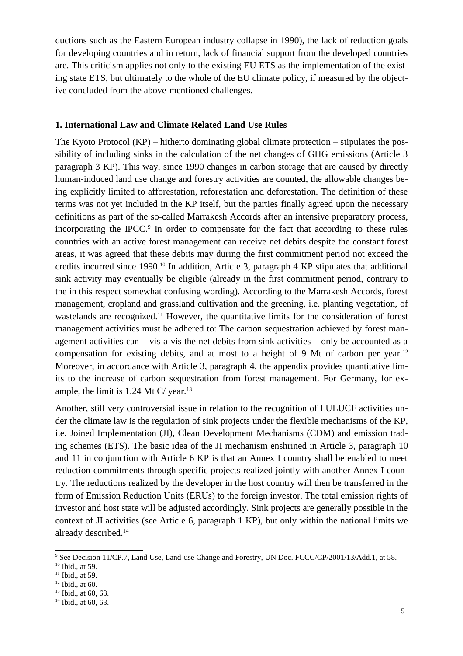ductions such as the Eastern European industry collapse in 1990), the lack of reduction goals for developing countries and in return, lack of financial support from the developed countries are. This criticism applies not only to the existing EU ETS as the implementation of the existing state ETS, but ultimately to the whole of the EU climate policy, if measured by the objective concluded from the above-mentioned challenges.

## **1. International Law and Climate Related Land Use Rules**

The Kyoto Protocol (KP) – hitherto dominating global climate protection – stipulates the possibility of including sinks in the calculation of the net changes of GHG emissions (Article 3 paragraph 3 KP). This way, since 1990 changes in carbon storage that are caused by directly human-induced land use change and forestry activities are counted, the allowable changes being explicitly limited to afforestation, reforestation and deforestation. The definition of these terms was not yet included in the KP itself, but the parties finally agreed upon the necessary definitions as part of the so-called Marrakesh Accords after an intensive preparatory process, incorporating the IPCC.<sup>9</sup> In order to compensate for the fact that according to these rules countries with an active forest management can receive net debits despite the constant forest areas, it was agreed that these debits may during the first commitment period not exceed the credits incurred since 1990.<sup>10</sup> In addition, Article 3, paragraph 4 KP stipulates that additional sink activity may eventually be eligible (already in the first commitment period, contrary to the in this respect somewhat confusing wording). According to the Marrakesh Accords, forest management, cropland and grassland cultivation and the greening, i.e. planting vegetation, of wastelands are recognized.<sup>11</sup> However, the quantitative limits for the consideration of forest management activities must be adhered to: The carbon sequestration achieved by forest management activities can – vis-a-vis the net debits from sink activities – only be accounted as a compensation for existing debits, and at most to a height of 9 Mt of carbon per year.<sup>12</sup> Moreover, in accordance with Article 3, paragraph 4, the appendix provides quantitative limits to the increase of carbon sequestration from forest management. For Germany, for example, the limit is 1.24 Mt C/ year. $13$ 

Another, still very controversial issue in relation to the recognition of LULUCF activities under the climate law is the regulation of sink projects under the flexible mechanisms of the KP, i.e. Joined Implementation (JI), Clean Development Mechanisms (CDM) and emission trading schemes (ETS). The basic idea of the JI mechanism enshrined in Article 3, paragraph 10 and 11 in conjunction with Article 6 KP is that an Annex I country shall be enabled to meet reduction commitments through specific projects realized jointly with another Annex I country. The reductions realized by the developer in the host country will then be transferred in the form of Emission Reduction Units (ERUs) to the foreign investor. The total emission rights of investor and host state will be adjusted accordingly. Sink projects are generally possible in the context of JI activities (see Article 6, paragraph 1 KP), but only within the national limits we already described.<sup>14</sup>

<sup>9</sup> See Decision 11/CP.7, Land Use, Land-use Change and Forestry, UN Doc. FCCC/CP/2001/13/Add.1, at 58.

<sup>&</sup>lt;sup>10</sup> Ibid., at 59.

 $11$  Ibid., at 59.

 $12$  Ibid., at 60.

 $13$  Ibid., at 60, 63.

 $14$  Ibid., at 60, 63.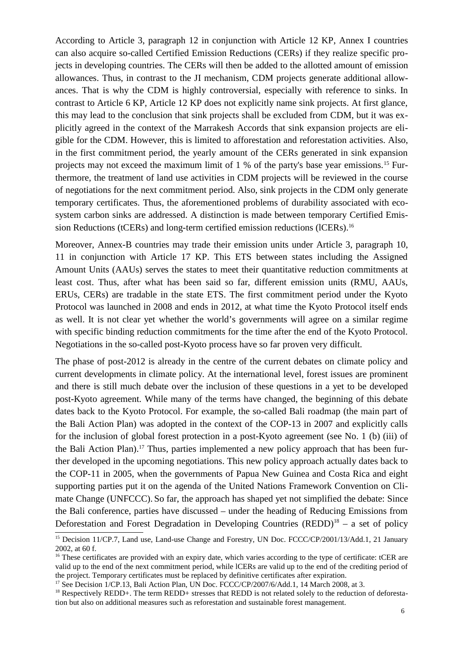According to Article 3, paragraph 12 in conjunction with Article 12 KP, Annex I countries can also acquire so-called Certified Emission Reductions (CERs) if they realize specific projects in developing countries. The CERs will then be added to the allotted amount of emission allowances. Thus, in contrast to the JI mechanism, CDM projects generate additional allowances. That is why the CDM is highly controversial, especially with reference to sinks. In contrast to Article 6 KP, Article 12 KP does not explicitly name sink projects. At first glance, this may lead to the conclusion that sink projects shall be excluded from CDM, but it was explicitly agreed in the context of the Marrakesh Accords that sink expansion projects are eligible for the CDM. However, this is limited to afforestation and reforestation activities. Also, in the first commitment period, the yearly amount of the CERs generated in sink expansion projects may not exceed the maximum limit of 1 % of the party's base year emissions.15 Furthermore, the treatment of land use activities in CDM projects will be reviewed in the course of negotiations for the next commitment period. Also, sink projects in the CDM only generate temporary certificates. Thus, the aforementioned problems of durability associated with ecosystem carbon sinks are addressed. A distinction is made between temporary Certified Emission Reductions (tCERs) and long-term certified emission reductions (lCERs).<sup>16</sup>

Moreover, Annex-B countries may trade their emission units under Article 3, paragraph 10, 11 in conjunction with Article 17 KP. This ETS between states including the Assigned Amount Units (AAUs) serves the states to meet their quantitative reduction commitments at least cost. Thus, after what has been said so far, different emission units (RMU, AAUs, ERUs, CERs) are tradable in the state ETS. The first commitment period under the Kyoto Protocol was launched in 2008 and ends in 2012, at what time the Kyoto Protocol itself ends as well. It is not clear yet whether the world's governments will agree on a similar regime with specific binding reduction commitments for the time after the end of the Kyoto Protocol. Negotiations in the so-called post-Kyoto process have so far proven very difficult.

The phase of post-2012 is already in the centre of the current debates on climate policy and current developments in climate policy. At the international level, forest issues are prominent and there is still much debate over the inclusion of these questions in a yet to be developed post-Kyoto agreement. While many of the terms have changed, the beginning of this debate dates back to the Kyoto Protocol. For example, the so-called Bali roadmap (the main part of the Bali Action Plan) was adopted in the context of the COP-13 in 2007 and explicitly calls for the inclusion of global forest protection in a post-Kyoto agreement (see No. 1 (b) (iii) of the Bali Action Plan).17 Thus, parties implemented a new policy approach that has been further developed in the upcoming negotiations. This new policy approach actually dates back to the COP-11 in 2005, when the governments of Papua New Guinea and Costa Rica and eight supporting parties put it on the agenda of the United Nations Framework Convention on Climate Change (UNFCCC). So far, the approach has shaped yet not simplified the debate: Since the Bali conference, parties have discussed – under the heading of Reducing Emissions from Deforestation and Forest Degradation in Developing Countries  $(REDD)^{18}$  – a set of policy

<sup>&</sup>lt;sup>15</sup> Decision 11/CP.7, Land use, Land-use Change and Forestry, UN Doc. FCCC/CP/2001/13/Add.1, 21 January 2002, at 60 f.

<sup>&</sup>lt;sup>16</sup> These certificates are provided with an expiry date, which varies according to the type of certificate: tCER are valid up to the end of the next commitment period, while lCERs are valid up to the end of the crediting period of the project. Temporary certificates must be replaced by definitive certificates after expiration.

<sup>&</sup>lt;sup>17</sup> See Decision 1/CP.13, Bali Action Plan, UN Doc. FCCC/CP/2007/6/Add.1, 14 March 2008, at 3.

<sup>&</sup>lt;sup>18</sup> Respectively REDD+. The term REDD+ stresses that REDD is not related solely to the reduction of deforestation but also on additional measures such as reforestation and sustainable forest management.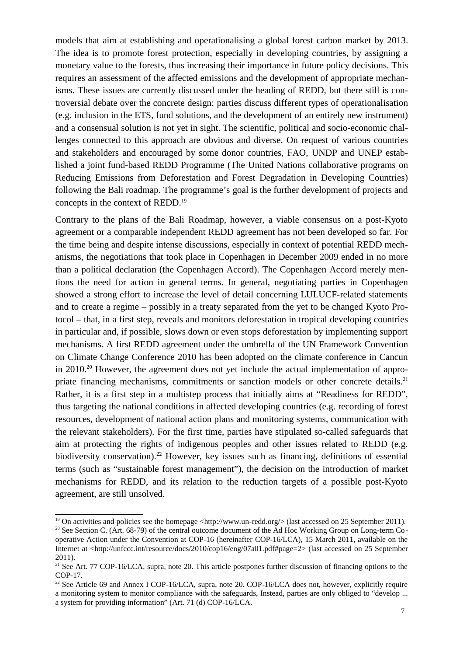models that aim at establishing and operationalising a global forest carbon market by 2013. The idea is to promote forest protection, especially in developing countries, by assigning a monetary value to the forests, thus increasing their importance in future policy decisions. This requires an assessment of the affected emissions and the development of appropriate mechanisms. These issues are currently discussed under the heading of REDD, but there still is controversial debate over the concrete design: parties discuss different types of operationalisation (e.g. inclusion in the ETS, fund solutions, and the development of an entirely new instrument) and a consensual solution is not yet in sight. The scientific, political and socio-economic challenges connected to this approach are obvious and diverse. On request of various countries and stakeholders and encouraged by some donor countries, FAO, UNDP and UNEP established a joint fund-based REDD Programme (The United Nations collaborative programs on Reducing Emissions from Deforestation and Forest Degradation in Developing Countries) following the Bali roadmap. The programme's goal is the further development of projects and concepts in the context of REDD.<sup>19</sup>

Contrary to the plans of the Bali Roadmap, however, a viable consensus on a post-Kyoto agreement or a comparable independent REDD agreement has not been developed so far. For the time being and despite intense discussions, especially in context of potential REDD mechanisms, the negotiations that took place in Copenhagen in December 2009 ended in no more than a political declaration (the Copenhagen Accord). The Copenhagen Accord merely mentions the need for action in general terms. In general, negotiating parties in Copenhagen showed a strong effort to increase the level of detail concerning LULUCF-related statements and to create a regime – possibly in a treaty separated from the yet to be changed Kyoto Protocol – that, in a first step, reveals and monitors deforestation in tropical developing countries in particular and, if possible, slows down or even stops deforestation by implementing support mechanisms. A first REDD agreement under the umbrella of the UN Framework Convention on Climate Change Conference 2010 has been adopted on the climate conference in Cancun in 2010.<sup>20</sup> However, the agreement does not yet include the actual implementation of appropriate financing mechanisms, commitments or sanction models or other concrete details.<sup>21</sup> Rather, it is a first step in a multistep process that initially aims at "Readiness for REDD", thus targeting the national conditions in affected developing countries (e.g. recording of forest resources, development of national action plans and monitoring systems, communication with the relevant stakeholders). For the first time, parties have stipulated so-called safeguards that aim at protecting the rights of indigenous peoples and other issues related to REDD (e.g. biodiversity conservation).<sup>22</sup> However, key issues such as financing, definitions of essential terms (such as "sustainable forest management"), the decision on the introduction of market mechanisms for REDD, and its relation to the reduction targets of a possible post-Kyoto agreement, are still unsolved.

<sup>&</sup>lt;sup>19</sup> On activities and policies see the homepage <http://www.un-redd.org/> (last accessed on 25 September 2011).

<sup>&</sup>lt;sup>20</sup> See Section C. (Art. 68-79) of the central outcome document of the Ad Hoc Working Group on Long-term Cooperative Action under the Convention at COP-16 (hereinafter COP-16/LCA), 15 March 2011, available on the Internet at <http://unfccc.int/resource/docs/2010/cop16/eng/07a01.pdf#page=2> (last accessed on 25 September 2011).

<sup>&</sup>lt;sup>21</sup> See Art. 77 COP-16/LCA, supra, note 20. This article postpones further discussion of financing options to the COP-17.

<sup>&</sup>lt;sup>22</sup> See Article 69 and Annex I COP-16/LCA, supra, note 20. COP-16/LCA does not, however, explicitly require a monitoring system to monitor compliance with the safeguards, Instead, parties are only obliged to "develop ... a system for providing information" (Art. 71 (d) COP-16/LCA.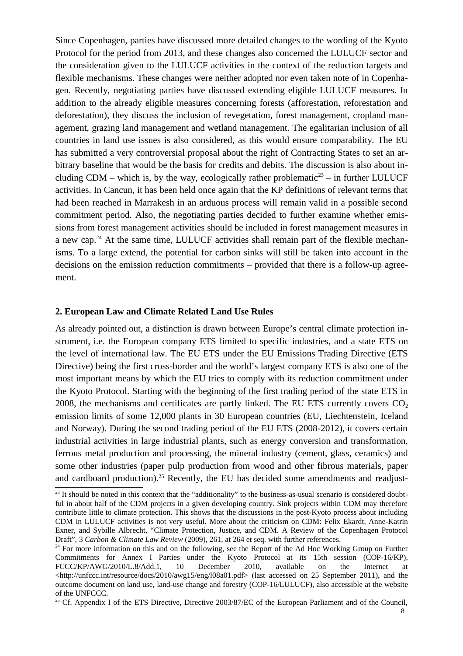Since Copenhagen, parties have discussed more detailed changes to the wording of the Kyoto Protocol for the period from 2013, and these changes also concerned the LULUCF sector and the consideration given to the LULUCF activities in the context of the reduction targets and flexible mechanisms. These changes were neither adopted nor even taken note of in Copenhagen. Recently, negotiating parties have discussed extending eligible LULUCF measures. In addition to the already eligible measures concerning forests (afforestation, reforestation and deforestation), they discuss the inclusion of revegetation, forest management, cropland management, grazing land management and wetland management. The egalitarian inclusion of all countries in land use issues is also considered, as this would ensure comparability. The EU has submitted a very controversial proposal about the right of Contracting States to set an arbitrary baseline that would be the basis for credits and debits. The discussion is also about including CDM – which is, by the way, ecologically rather problematic<sup>23</sup> – in further LULUCF activities. In Cancun, it has been held once again that the KP definitions of relevant terms that had been reached in Marrakesh in an arduous process will remain valid in a possible second commitment period. Also, the negotiating parties decided to further examine whether emissions from forest management activities should be included in forest management measures in a new cap.<sup>24</sup> At the same time, LULUCF activities shall remain part of the flexible mechanisms. To a large extend, the potential for carbon sinks will still be taken into account in the decisions on the emission reduction commitments – provided that there is a follow-up agreement.

### **2. European Law and Climate Related Land Use Rules**

As already pointed out, a distinction is drawn between Europe's central climate protection instrument, i.e. the European company ETS limited to specific industries, and a state ETS on the level of international law. The EU ETS under the EU Emissions Trading Directive (ETS Directive) being the first cross-border and the world's largest company ETS is also one of the most important means by which the EU tries to comply with its reduction commitment under the Kyoto Protocol. Starting with the beginning of the first trading period of the state ETS in 2008, the mechanisms and certificates are partly linked. The EU ETS currently covers  $CO<sub>2</sub>$ emission limits of some 12,000 plants in 30 European countries (EU, Liechtenstein, Iceland and Norway). During the second trading period of the EU ETS (2008-2012), it covers certain industrial activities in large industrial plants, such as energy conversion and transformation, ferrous metal production and processing, the mineral industry (cement, glass, ceramics) and some other industries (paper pulp production from wood and other fibrous materials, paper and cardboard production).<sup>25</sup> Recently, the EU has decided some amendments and readjust-

 $23$  It should be noted in this context that the "additionality" to the business-as-usual scenario is considered doubtful in about half of the CDM projects in a given developing country. Sink projects within CDM may therefore contribute little to climate protection. This shows that the discussions in the post-Kyoto process about including CDM in LULUCF activities is not very useful. More about the criticism on CDM: Felix Ekardt, Anne-Katrin Exner, and Sybille Albrecht, "Climate Protection, Justice, and CDM. A Review of the Copenhagen Protocol Draft", 3 *Carbon & Climate Law Review* (2009), 261, at 264 et seq. with further references.

<sup>&</sup>lt;sup>24</sup> For more information on this and on the following, see the Report of the Ad Hoc Working Group on Further Commitments for Annex I Parties under the Kyoto Protocol at its 15th session (COP-16/KP), FCCC/KP/AWG/2010/L.8/Add.1, 10 December 2010, available on the Internet at  $\text{th}(p://unfccc.int/resource/docs/2010/awg15/eng/108a01.pdf\text{)}$  (last accessed on 25 September 2011), and the outcome document on land use, land-use change and forestry (COP-16/LULUCF), also accessible at the website of the UNFCCC.

<sup>&</sup>lt;sup>25</sup> Cf. Appendix I of the ETS Directive, Directive  $2003/87/EC$  of the European Parliament and of the Council,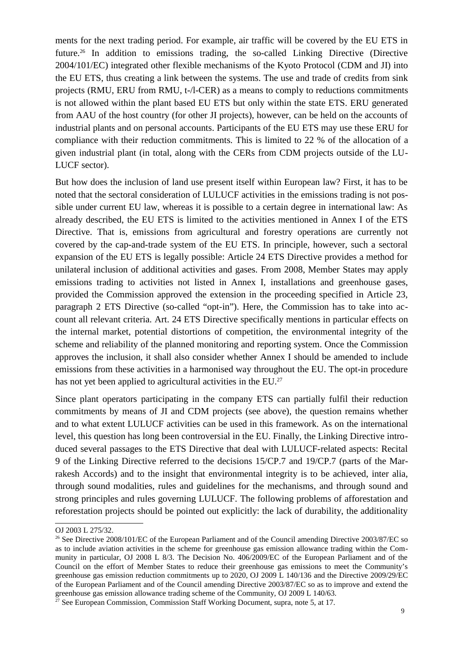ments for the next trading period. For example, air traffic will be covered by the EU ETS in future.<sup>26</sup> In addition to emissions trading, the so-called Linking Directive (Directive 2004/101/EC) integrated other flexible mechanisms of the Kyoto Protocol (CDM and JI) into the EU ETS, thus creating a link between the systems. The use and trade of credits from sink projects (RMU, ERU from RMU, t-/l-CER) as a means to comply to reductions commitments is not allowed within the plant based EU ETS but only within the state ETS. ERU generated from AAU of the host country (for other JI projects), however, can be held on the accounts of industrial plants and on personal accounts. Participants of the EU ETS may use these ERU for compliance with their reduction commitments. This is limited to 22 % of the allocation of a given industrial plant (in total, along with the CERs from CDM projects outside of the LU-LUCF sector).

But how does the inclusion of land use present itself within European law? First, it has to be noted that the sectoral consideration of LULUCF activities in the emissions trading is not possible under current EU law, whereas it is possible to a certain degree in international law: As already described, the EU ETS is limited to the activities mentioned in Annex I of the ETS Directive. That is, emissions from agricultural and forestry operations are currently not covered by the cap-and-trade system of the EU ETS. In principle, however, such a sectoral expansion of the EU ETS is legally possible: Article 24 ETS Directive provides a method for unilateral inclusion of additional activities and gases. From 2008, Member States may apply emissions trading to activities not listed in Annex I, installations and greenhouse gases, provided the Commission approved the extension in the proceeding specified in Article 23, paragraph 2 ETS Directive (so-called "opt-in"). Here, the Commission has to take into account all relevant criteria. Art. 24 ETS Directive specifically mentions in particular effects on the internal market, potential distortions of competition, the environmental integrity of the scheme and reliability of the planned monitoring and reporting system. Once the Commission approves the inclusion, it shall also consider whether Annex I should be amended to include emissions from these activities in a harmonised way throughout the EU. The opt-in procedure has not yet been applied to agricultural activities in the EU.<sup>27</sup>

Since plant operators participating in the company ETS can partially fulfil their reduction commitments by means of JI and CDM projects (see above), the question remains whether and to what extent LULUCF activities can be used in this framework. As on the international level, this question has long been controversial in the EU. Finally, the Linking Directive introduced several passages to the ETS Directive that deal with LULUCF-related aspects: Recital 9 of the Linking Directive referred to the decisions 15/CP.7 and 19/CP.7 (parts of the Marrakesh Accords) and to the insight that environmental integrity is to be achieved, inter alia, through sound modalities, rules and guidelines for the mechanisms, and through sound and strong principles and rules governing LULUCF. The following problems of afforestation and reforestation projects should be pointed out explicitly: the lack of durability, the additionality

OJ 2003 L 275/32.

<sup>&</sup>lt;sup>26</sup> See Directive 2008/101/EC of the European Parliament and of the Council amending Directive 2003/87/EC so as to include aviation activities in the scheme for greenhouse gas emission allowance trading within the Community in particular, OJ 2008 L 8/3. The Decision No. 406/2009/EC of the European Parliament and of the Council on the effort of Member States to reduce their greenhouse gas emissions to meet the Community's greenhouse gas emission reduction commitments up to 2020, OJ 2009 L 140/136 and the Directive 2009/29/EC of the European Parliament and of the Council amending Directive 2003/87/EC so as to improve and extend the greenhouse gas emission allowance trading scheme of the Community, OJ 2009 L 140/63.

 $^{27}$  See European Commission, Commission Staff Working Document, supra, note 5, at 17.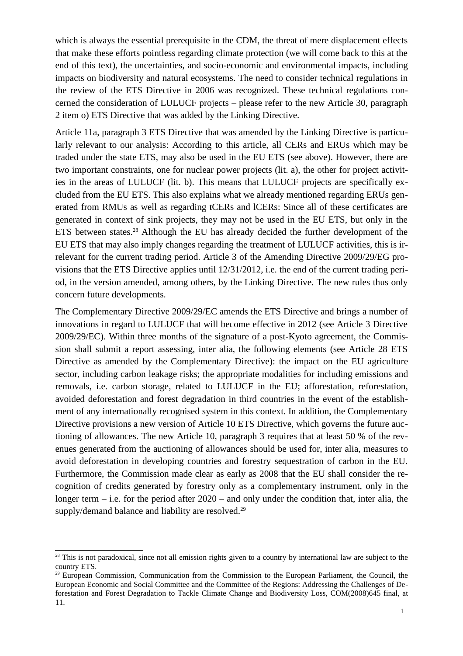which is always the essential prerequisite in the CDM, the threat of mere displacement effects that make these efforts pointless regarding climate protection (we will come back to this at the end of this text), the uncertainties, and socio-economic and environmental impacts, including impacts on biodiversity and natural ecosystems. The need to consider technical regulations in the review of the ETS Directive in 2006 was recognized. These technical regulations concerned the consideration of LULUCF projects – please refer to the new Article 30, paragraph 2 item o) ETS Directive that was added by the Linking Directive.

Article 11a, paragraph 3 ETS Directive that was amended by the Linking Directive is particularly relevant to our analysis: According to this article, all CERs and ERUs which may be traded under the state ETS, may also be used in the EU ETS (see above). However, there are two important constraints, one for nuclear power projects (lit. a), the other for project activities in the areas of LULUCF (lit. b). This means that LULUCF projects are specifically excluded from the EU ETS. This also explains what we already mentioned regarding ERUs generated from RMUs as well as regarding tCERs and lCERs: Since all of these certificates are generated in context of sink projects, they may not be used in the EU ETS, but only in the ETS between states.<sup>28</sup> Although the EU has already decided the further development of the EU ETS that may also imply changes regarding the treatment of LULUCF activities, this is irrelevant for the current trading period. Article 3 of the Amending Directive 2009/29/EG provisions that the ETS Directive applies until 12/31/2012, i.e. the end of the current trading period, in the version amended, among others, by the Linking Directive. The new rules thus only concern future developments.

The Complementary Directive 2009/29/EC amends the ETS Directive and brings a number of innovations in regard to LULUCF that will become effective in 2012 (see Article 3 Directive 2009/29/EC). Within three months of the signature of a post-Kyoto agreement, the Commission shall submit a report assessing, inter alia, the following elements (see Article 28 ETS Directive as amended by the Complementary Directive): the impact on the EU agriculture sector, including carbon leakage risks; the appropriate modalities for including emissions and removals, i.e. carbon storage, related to LULUCF in the EU; afforestation, reforestation, avoided deforestation and forest degradation in third countries in the event of the establishment of any internationally recognised system in this context. In addition, the Complementary Directive provisions a new version of Article 10 ETS Directive, which governs the future auctioning of allowances. The new Article 10, paragraph 3 requires that at least 50 % of the revenues generated from the auctioning of allowances should be used for, inter alia, measures to avoid deforestation in developing countries and forestry sequestration of carbon in the EU. Furthermore, the Commission made clear as early as 2008 that the EU shall consider the recognition of credits generated by forestry only as a complementary instrument, only in the longer term  $-$  i.e. for the period after 2020 – and only under the condition that, inter alia, the supply/demand balance and liability are resolved.<sup>29</sup>

<sup>&</sup>lt;sup>28</sup> This is not paradoxical, since not all emission rights given to a country by international law are subject to the country ETS.

<sup>&</sup>lt;sup>29</sup> European Commission, Communication from the Commission to the European Parliament, the Council, the European Economic and Social Committee and the Committee of the Regions: Addressing the Challenges of Deforestation and Forest Degradation to Tackle Climate Change and Biodiversity Loss, COM(2008)645 final, at 11.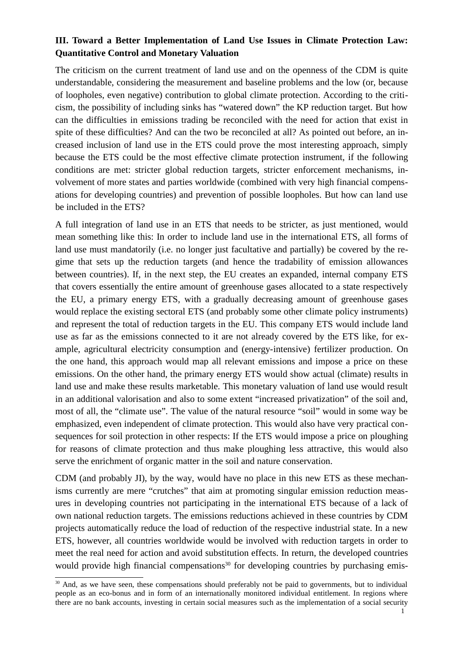# **III. Toward a Better Implementation of Land Use Issues in Climate Protection Law: Quantitative Control and Monetary Valuation**

The criticism on the current treatment of land use and on the openness of the CDM is quite understandable, considering the measurement and baseline problems and the low (or, because of loopholes, even negative) contribution to global climate protection. According to the criticism, the possibility of including sinks has "watered down" the KP reduction target. But how can the difficulties in emissions trading be reconciled with the need for action that exist in spite of these difficulties? And can the two be reconciled at all? As pointed out before, an increased inclusion of land use in the ETS could prove the most interesting approach, simply because the ETS could be the most effective climate protection instrument, if the following conditions are met: stricter global reduction targets, stricter enforcement mechanisms, involvement of more states and parties worldwide (combined with very high financial compensations for developing countries) and prevention of possible loopholes. But how can land use be included in the ETS?

A full integration of land use in an ETS that needs to be stricter, as just mentioned, would mean something like this: In order to include land use in the international ETS, all forms of land use must mandatorily (i.e. no longer just facultative and partially) be covered by the regime that sets up the reduction targets (and hence the tradability of emission allowances between countries). If, in the next step, the EU creates an expanded, internal company ETS that covers essentially the entire amount of greenhouse gases allocated to a state respectively the EU, a primary energy ETS, with a gradually decreasing amount of greenhouse gases would replace the existing sectoral ETS (and probably some other climate policy instruments) and represent the total of reduction targets in the EU. This company ETS would include land use as far as the emissions connected to it are not already covered by the ETS like, for example, agricultural electricity consumption and (energy-intensive) fertilizer production. On the one hand, this approach would map all relevant emissions and impose a price on these emissions. On the other hand, the primary energy ETS would show actual (climate) results in land use and make these results marketable. This monetary valuation of land use would result in an additional valorisation and also to some extent "increased privatization" of the soil and, most of all, the "climate use". The value of the natural resource "soil" would in some way be emphasized, even independent of climate protection. This would also have very practical consequences for soil protection in other respects: If the ETS would impose a price on ploughing for reasons of climate protection and thus make ploughing less attractive, this would also serve the enrichment of organic matter in the soil and nature conservation.

CDM (and probably JI), by the way, would have no place in this new ETS as these mechanisms currently are mere "crutches" that aim at promoting singular emission reduction measures in developing countries not participating in the international ETS because of a lack of own national reduction targets. The emissions reductions achieved in these countries by CDM projects automatically reduce the load of reduction of the respective industrial state. In a new ETS, however, all countries worldwide would be involved with reduction targets in order to meet the real need for action and avoid substitution effects. In return, the developed countries would provide high financial compensations<sup>30</sup> for developing countries by purchasing emis-

<sup>&</sup>lt;sup>30</sup> And, as we have seen, these compensations should preferably not be paid to governments, but to individual people as an eco-bonus and in form of an internationally monitored individual entitlement. In regions where there are no bank accounts, investing in certain social measures such as the implementation of a social security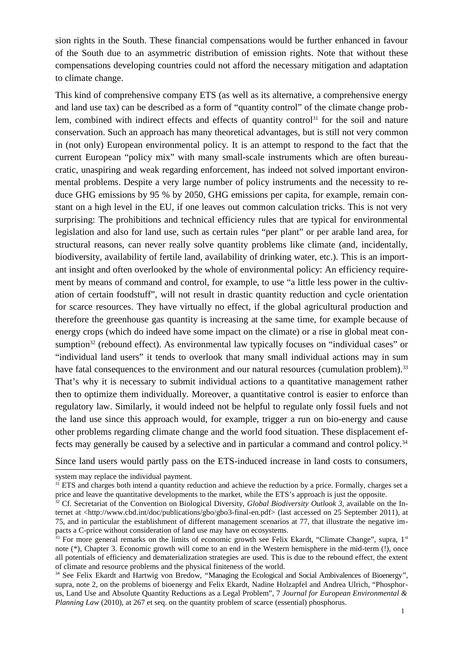sion rights in the South. These financial compensations would be further enhanced in favour of the South due to an asymmetric distribution of emission rights. Note that without these compensations developing countries could not afford the necessary mitigation and adaptation to climate change.

This kind of comprehensive company ETS (as well as its alternative, a comprehensive energy and land use tax) can be described as a form of "quantity control" of the climate change problem, combined with indirect effects and effects of quantity control<sup>31</sup> for the soil and nature conservation. Such an approach has many theoretical advantages, but is still not very common in (not only) European environmental policy. It is an attempt to respond to the fact that the current European "policy mix" with many small-scale instruments which are often bureaucratic, unaspiring and weak regarding enforcement, has indeed not solved important environmental problems. Despite a very large number of policy instruments and the necessity to reduce GHG emissions by 95 % by 2050, GHG emissions per capita, for example, remain constant on a high level in the EU, if one leaves out common calculation tricks. This is not very surprising: The prohibitions and technical efficiency rules that are typical for environmental legislation and also for land use, such as certain rules "per plant" or per arable land area, for structural reasons, can never really solve quantity problems like climate (and, incidentally, biodiversity, availability of fertile land, availability of drinking water, etc.). This is an important insight and often overlooked by the whole of environmental policy: An efficiency requirement by means of command and control, for example, to use "a little less power in the cultivation of certain foodstuff", will not result in drastic quantity reduction and cycle orientation for scarce resources. They have virtually no effect, if the global agricultural production and therefore the greenhouse gas quantity is increasing at the same time, for example because of energy crops (which do indeed have some impact on the climate) or a rise in global meat consumption<sup>32</sup> (rebound effect). As environmental law typically focuses on "individual cases" or "individual land users" it tends to overlook that many small individual actions may in sum have fatal consequences to the environment and our natural resources (cumulation problem).<sup>33</sup> That's why it is necessary to submit individual actions to a quantitative management rather then to optimize them individually. Moreover, a quantitative control is easier to enforce than regulatory law. Similarly, it would indeed not be helpful to regulate only fossil fuels and not the land use since this approach would, for example, trigger a run on bio-energy and cause other problems regarding climate change and the world food situation. These displacement effects may generally be caused by a selective and in particular a command and control policy.<sup>34</sup>

Since land users would partly pass on the ETS-induced increase in land costs to consumers,

system may replace the individual payment.

 $31$  ETS and charges both intend a quantity reduction and achieve the reduction by a price. Formally, charges set a price and leave the quantitative developments to the market, while the ETS's approach is just the opposite.

<sup>32</sup> Cf*.* Secretariat of the Convention on Biological Diversity, *Global Biodiversity Outlook 3*, available on the Internet at <http://www.cbd.int/doc/publications/gbo/gbo3-final-en.pdf> (last accessed on 25 September 2011), at 75, and in particular the establishment of different management scenarios at 77, that illustrate the negative impacts a C-price without consideration of land use may have on ecosystems.

 $33$  For more general remarks on the limits of economic growth see Felix Ekardt, "Climate Change", supra,  $1<sup>st</sup>$ note (\*), Chapter 3. Economic growth will come to an end in the Western hemisphere in the mid-term (!), once all potentials of efficiency and dematerialization strategies are used. This is due to the rebound effect, the extent of climate and resource problems and the physical finiteness of the world.

<sup>&</sup>lt;sup>34</sup> See Felix Ekardt and Hartwig von Bredow, "Managing the Ecological and Social Ambivalences of Bioenergy", supra, note 2, on the problems of bioenergy and Felix Ekardt, Nadine Holzapfel and Andrea Ulrich, "Phosphorus, Land Use and Absolute Quantity Reductions as a Legal Problem", 7 *Journal for European Environmental & Planning Law* (2010), at 267 et seq. on the quantity problem of scarce (essential) phosphorus.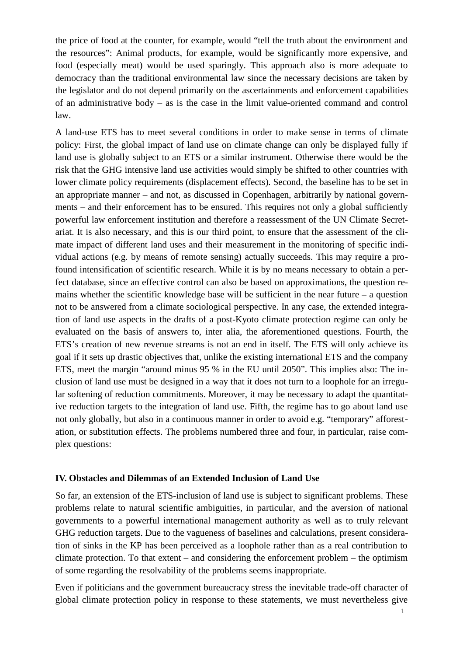the price of food at the counter, for example, would "tell the truth about the environment and the resources": Animal products, for example, would be significantly more expensive, and food (especially meat) would be used sparingly. This approach also is more adequate to democracy than the traditional environmental law since the necessary decisions are taken by the legislator and do not depend primarily on the ascertainments and enforcement capabilities of an administrative body – as is the case in the limit value-oriented command and control law.

A land-use ETS has to meet several conditions in order to make sense in terms of climate policy: First, the global impact of land use on climate change can only be displayed fully if land use is globally subject to an ETS or a similar instrument. Otherwise there would be the risk that the GHG intensive land use activities would simply be shifted to other countries with lower climate policy requirements (displacement effects). Second, the baseline has to be set in an appropriate manner – and not, as discussed in Copenhagen, arbitrarily by national governments – and their enforcement has to be ensured. This requires not only a global sufficiently powerful law enforcement institution and therefore a reassessment of the UN Climate Secretariat. It is also necessary, and this is our third point, to ensure that the assessment of the climate impact of different land uses and their measurement in the monitoring of specific individual actions (e.g. by means of remote sensing) actually succeeds. This may require a profound intensification of scientific research. While it is by no means necessary to obtain a perfect database, since an effective control can also be based on approximations, the question remains whether the scientific knowledge base will be sufficient in the near future  $-$  a question not to be answered from a climate sociological perspective. In any case, the extended integration of land use aspects in the drafts of a post-Kyoto climate protection regime can only be evaluated on the basis of answers to, inter alia, the aforementioned questions. Fourth, the ETS's creation of new revenue streams is not an end in itself. The ETS will only achieve its goal if it sets up drastic objectives that, unlike the existing international ETS and the company ETS, meet the margin "around minus 95 % in the EU until 2050". This implies also: The inclusion of land use must be designed in a way that it does not turn to a loophole for an irregular softening of reduction commitments. Moreover, it may be necessary to adapt the quantitative reduction targets to the integration of land use. Fifth, the regime has to go about land use not only globally, but also in a continuous manner in order to avoid e.g. "temporary" afforestation, or substitution effects. The problems numbered three and four, in particular, raise complex questions:

#### **IV. Obstacles and Dilemmas of an Extended Inclusion of Land Use**

So far, an extension of the ETS-inclusion of land use is subject to significant problems. These problems relate to natural scientific ambiguities, in particular, and the aversion of national governments to a powerful international management authority as well as to truly relevant GHG reduction targets. Due to the vagueness of baselines and calculations, present consideration of sinks in the KP has been perceived as a loophole rather than as a real contribution to climate protection. To that extent – and considering the enforcement problem – the optimism of some regarding the resolvability of the problems seems inappropriate.

Even if politicians and the government bureaucracy stress the inevitable trade-off character of global climate protection policy in response to these statements, we must nevertheless give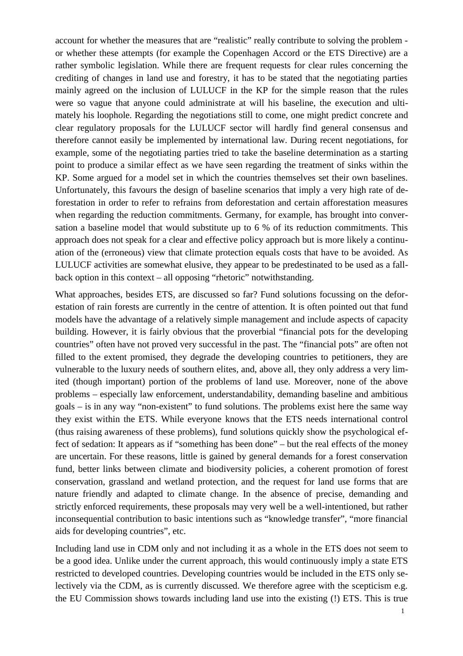account for whether the measures that are "realistic" really contribute to solving the problem or whether these attempts (for example the Copenhagen Accord or the ETS Directive) are a rather symbolic legislation. While there are frequent requests for clear rules concerning the crediting of changes in land use and forestry, it has to be stated that the negotiating parties mainly agreed on the inclusion of LULUCF in the KP for the simple reason that the rules were so vague that anyone could administrate at will his baseline, the execution and ultimately his loophole. Regarding the negotiations still to come, one might predict concrete and clear regulatory proposals for the LULUCF sector will hardly find general consensus and therefore cannot easily be implemented by international law. During recent negotiations, for example, some of the negotiating parties tried to take the baseline determination as a starting point to produce a similar effect as we have seen regarding the treatment of sinks within the KP. Some argued for a model set in which the countries themselves set their own baselines. Unfortunately, this favours the design of baseline scenarios that imply a very high rate of deforestation in order to refer to refrains from deforestation and certain afforestation measures when regarding the reduction commitments. Germany, for example, has brought into conversation a baseline model that would substitute up to 6 % of its reduction commitments. This approach does not speak for a clear and effective policy approach but is more likely a continuation of the (erroneous) view that climate protection equals costs that have to be avoided. As LULUCF activities are somewhat elusive, they appear to be predestinated to be used as a fallback option in this context – all opposing "rhetoric" notwithstanding.

What approaches, besides ETS, are discussed so far? Fund solutions focussing on the deforestation of rain forests are currently in the centre of attention. It is often pointed out that fund models have the advantage of a relatively simple management and include aspects of capacity building. However, it is fairly obvious that the proverbial "financial pots for the developing countries" often have not proved very successful in the past. The "financial pots" are often not filled to the extent promised, they degrade the developing countries to petitioners, they are vulnerable to the luxury needs of southern elites, and, above all, they only address a very limited (though important) portion of the problems of land use. Moreover, none of the above problems – especially law enforcement, understandability, demanding baseline and ambitious goals – is in any way "non-existent" to fund solutions. The problems exist here the same way they exist within the ETS. While everyone knows that the ETS needs international control (thus raising awareness of these problems), fund solutions quickly show the psychological effect of sedation: It appears as if "something has been done" – but the real effects of the money are uncertain. For these reasons, little is gained by general demands for a forest conservation fund, better links between climate and biodiversity policies, a coherent promotion of forest conservation, grassland and wetland protection, and the request for land use forms that are nature friendly and adapted to climate change. In the absence of precise, demanding and strictly enforced requirements, these proposals may very well be a well-intentioned, but rather inconsequential contribution to basic intentions such as "knowledge transfer", "more financial aids for developing countries", etc.

Including land use in CDM only and not including it as a whole in the ETS does not seem to be a good idea. Unlike under the current approach, this would continuously imply a state ETS restricted to developed countries. Developing countries would be included in the ETS only selectively via the CDM, as is currently discussed. We therefore agree with the scepticism e.g. the EU Commission shows towards including land use into the existing (!) ETS. This is true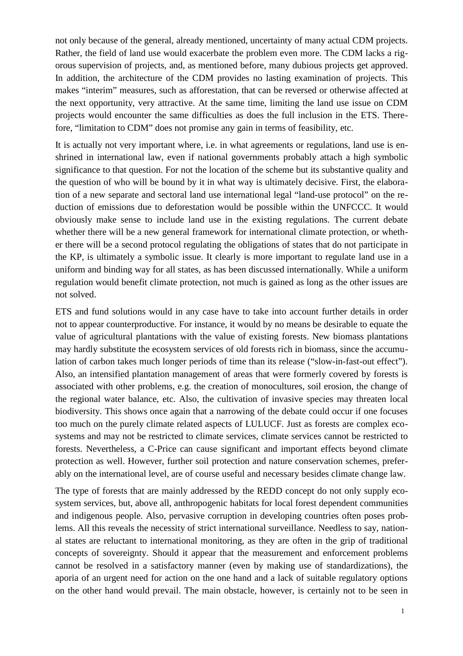not only because of the general, already mentioned, uncertainty of many actual CDM projects. Rather, the field of land use would exacerbate the problem even more. The CDM lacks a rigorous supervision of projects, and, as mentioned before, many dubious projects get approved. In addition, the architecture of the CDM provides no lasting examination of projects. This makes "interim" measures, such as afforestation, that can be reversed or otherwise affected at the next opportunity, very attractive. At the same time, limiting the land use issue on CDM projects would encounter the same difficulties as does the full inclusion in the ETS. Therefore, "limitation to CDM" does not promise any gain in terms of feasibility, etc.

It is actually not very important where, i.e. in what agreements or regulations, land use is enshrined in international law, even if national governments probably attach a high symbolic significance to that question. For not the location of the scheme but its substantive quality and the question of who will be bound by it in what way is ultimately decisive. First, the elaboration of a new separate and sectoral land use international legal "land-use protocol" on the reduction of emissions due to deforestation would be possible within the UNFCCC. It would obviously make sense to include land use in the existing regulations. The current debate whether there will be a new general framework for international climate protection, or whether there will be a second protocol regulating the obligations of states that do not participate in the KP, is ultimately a symbolic issue. It clearly is more important to regulate land use in a uniform and binding way for all states, as has been discussed internationally. While a uniform regulation would benefit climate protection, not much is gained as long as the other issues are not solved.

ETS and fund solutions would in any case have to take into account further details in order not to appear counterproductive. For instance, it would by no means be desirable to equate the value of agricultural plantations with the value of existing forests. New biomass plantations may hardly substitute the ecosystem services of old forests rich in biomass, since the accumulation of carbon takes much longer periods of time than its release ("slow-in-fast-out effect"). Also, an intensified plantation management of areas that were formerly covered by forests is associated with other problems, e.g. the creation of monocultures, soil erosion, the change of the regional water balance, etc. Also, the cultivation of invasive species may threaten local biodiversity. This shows once again that a narrowing of the debate could occur if one focuses too much on the purely climate related aspects of LULUCF. Just as forests are complex ecosystems and may not be restricted to climate services, climate services cannot be restricted to forests. Nevertheless, a C-Price can cause significant and important effects beyond climate protection as well. However, further soil protection and nature conservation schemes, preferably on the international level, are of course useful and necessary besides climate change law.

The type of forests that are mainly addressed by the REDD concept do not only supply ecosystem services, but, above all, anthropogenic habitats for local forest dependent communities and indigenous people. Also, pervasive corruption in developing countries often poses problems. All this reveals the necessity of strict international surveillance. Needless to say, national states are reluctant to international monitoring, as they are often in the grip of traditional concepts of sovereignty. Should it appear that the measurement and enforcement problems cannot be resolved in a satisfactory manner (even by making use of standardizations), the aporia of an urgent need for action on the one hand and a lack of suitable regulatory options on the other hand would prevail. The main obstacle, however, is certainly not to be seen in